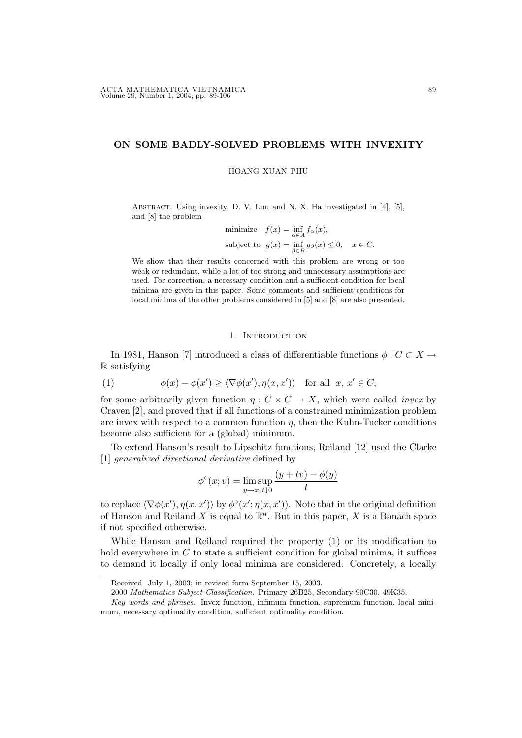# ON SOME BADLY-SOLVED PROBLEMS WITH INVEXITY

#### HOANG XUAN PHU

ABSTRACT. Using invexity, D. V. Luu and N. X. Ha investigated in [4], [5], and [8] the problem

minimize 
$$
f(x) = \inf_{\alpha \in A} f_{\alpha}(x)
$$
,  
subject to  $g(x) = \inf_{\beta \in B} g_{\beta}(x) \le 0$ ,  $x \in C$ .

We show that their results concerned with this problem are wrong or too weak or redundant, while a lot of too strong and unnecessary assumptions are used. For correction, a necessary condition and a sufficient condition for local minima are given in this paper. Some comments and sufficient conditions for local minima of the other problems considered in [5] and [8] are also presented.

## 1. INTRODUCTION

In 1981, Hanson [7] introduced a class of differentiable functions  $\phi : C \subset X \to$ R satisfying

(1) 
$$
\phi(x) - \phi(x') \ge \langle \nabla \phi(x'), \eta(x, x') \rangle \quad \text{for all} \ \ x, x' \in C,
$$

for some arbitrarily given function  $\eta: C \times C \rightarrow X$ , which were called *invex* by Craven [2], and proved that if all functions of a constrained minimization problem are invex with respect to a common function  $\eta$ , then the Kuhn-Tucker conditions become also sufficient for a (global) minimum.

To extend Hanson's result to Lipschitz functions, Reiland [12] used the Clarke [1] generalized directional derivative defined by

$$
\phi^{\circ}(x; v) = \limsup_{y \to x, t \downarrow 0} \frac{(y + tv) - \phi(y)}{t}
$$

to replace  $\langle \nabla \phi(x'), \eta(x, x') \rangle$  by  $\phi^{\circ}(x'; \eta(x, x'))$ . Note that in the original definition of Hanson and Reiland X is equal to  $\mathbb{R}^n$ . But in this paper, X is a Banach space if not specified otherwise.

While Hanson and Reiland required the property (1) or its modification to hold everywhere in  $C$  to state a sufficient condition for global minima, it suffices to demand it locally if only local minima are considered. Concretely, a locally

Received July 1, 2003; in revised form September 15, 2003.

<sup>2000</sup> Mathematics Subject Classification. Primary 26B25, Secondary 90C30, 49K35.

Key words and phrases. Invex function, infimum function, supremum function, local minimum, necessary optimality condition, sufficient optimality condition.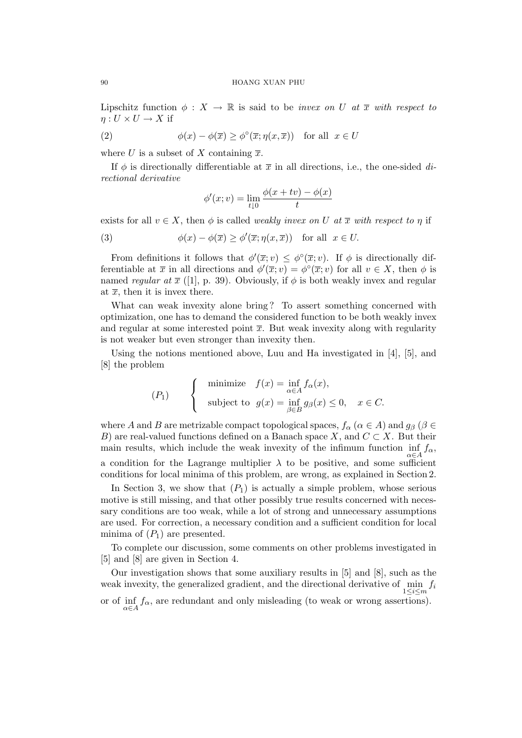Lipschitz function  $\phi: X \to \mathbb{R}$  is said to be *invex on U at*  $\overline{x}$  with respect to  $\eta: U \times U \to X$  if

(2) 
$$
\phi(x) - \phi(\overline{x}) \ge \phi^{\circ}(\overline{x}; \eta(x, \overline{x})) \text{ for all } x \in U
$$

where U is a subset of X containing  $\overline{x}$ .

If  $\phi$  is directionally differentiable at  $\bar{x}$  in all directions, i.e., the one-sided directional derivative

$$
\phi'(x; v) = \lim_{t \downarrow 0} \frac{\phi(x + tv) - \phi(x)}{t}
$$

exists for all  $v \in X$ , then  $\phi$  is called *weakly invex on U at*  $\overline{x}$  with respect to  $\eta$  if

(3) 
$$
\phi(x) - \phi(\overline{x}) \ge \phi'(\overline{x}; \eta(x, \overline{x})) \text{ for all } x \in U.
$$

From definitions it follows that  $\phi'(\overline{x}; v) \leq \phi^{\circ}(\overline{x}; v)$ . If  $\phi$  is directionally differentiable at  $\bar{x}$  in all directions and  $\phi'(\bar{x}; v) = \phi^{\circ}(\bar{x}; v)$  for all  $v \in X$ , then  $\phi$  is named regular at  $\bar{x}$  ([1], p. 39). Obviously, if  $\phi$  is both weakly invex and regular at  $\bar{x}$ , then it is invex there.

What can weak invexity alone bring? To assert something concerned with optimization, one has to demand the considered function to be both weakly invex and regular at some interested point  $\bar{x}$ . But weak invexity along with regularity is not weaker but even stronger than invexity then.

Using the notions mentioned above, Luu and Ha investigated in [4], [5], and [8] the problem

$$
(P_1) \qquad \begin{cases} \text{minimize} & f(x) = \inf_{\alpha \in A} f_\alpha(x), \\ \text{subject to} & g(x) = \inf_{\beta \in B} g_\beta(x) \le 0, \quad x \in C. \end{cases}
$$

where A and B are metrizable compact topological spaces,  $f_{\alpha}$  ( $\alpha \in A$ ) and  $g_{\beta}$  ( $\beta \in$ B) are real-valued functions defined on a Banach space X, and  $C \subset X$ . But their main results, which include the weak invexity of the infimum function  $\inf_{\alpha \in A} f_{\alpha}$ , a condition for the Lagrange multiplier  $\lambda$  to be positive, and some sufficient conditions for local minima of this problem, are wrong, as explained in Section 2.

In Section 3, we show that  $(P_1)$  is actually a simple problem, whose serious motive is still missing, and that other possibly true results concerned with necessary conditions are too weak, while a lot of strong and unnecessary assumptions are used. For correction, a necessary condition and a sufficient condition for local minima of  $(P_1)$  are presented.

To complete our discussion, some comments on other problems investigated in [5] and [8] are given in Section 4.

Our investigation shows that some auxiliary results in [5] and [8], such as the weak invexity, the generalized gradient, and the directional derivative of  $\min_{1 \leq i \leq m} f_i$ or of  $\inf_{\alpha \in A} f_{\alpha}$ , are redundant and only misleading (to weak or wrong assertions).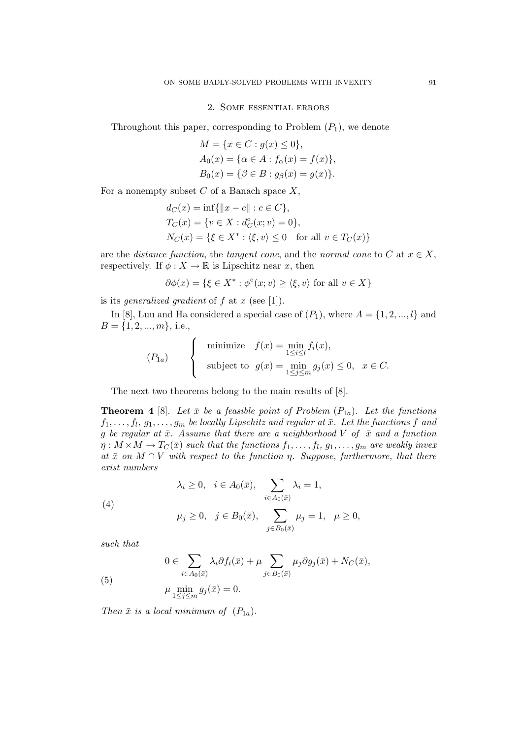# 2. Some essential errors

Throughout this paper, corresponding to Problem  $(P_1)$ , we denote

$$
M = \{x \in C : g(x) \le 0\},\
$$
  
\n
$$
A_0(x) = \{\alpha \in A : f_{\alpha}(x) = f(x)\},\
$$
  
\n
$$
B_0(x) = \{\beta \in B : g_{\beta}(x) = g(x)\}.
$$

For a nonempty subset  $C$  of a Banach space  $X$ ,

$$
d_C(x) = \inf \{ ||x - c|| : c \in C \},
$$
  
\n
$$
T_C(x) = \{ v \in X : d_C^{\circ}(x; v) = 0 \},
$$
  
\n
$$
N_C(x) = \{ \xi \in X^* : \langle \xi, v \rangle \le 0 \text{ for all } v \in T_C(x) \}
$$

are the *distance function*, the *tangent cone*, and the *normal cone* to C at  $x \in X$ , respectively. If  $\phi: X \to \mathbb{R}$  is Lipschitz near x, then

$$
\partial \phi(x) = \{ \xi \in X^* : \phi^{\circ}(x; v) \ge \langle \xi, v \rangle \text{ for all } v \in X \}
$$

is its *generalized gradient* of  $f$  at  $x$  (see [1]).

In [8], Luu and Ha considered a special case of  $(P_1)$ , where  $A = \{1, 2, ..., l\}$  and  $B = \{1, 2, ..., m\}$ , i.e.,  $\overline{\phantom{a}}$ 

$$
(P_{1a}) \qquad \begin{cases} \text{minimize} & f(x) = \min_{1 \le i \le l} f_i(x), \\ \text{subject to} & g(x) = \min_{1 \le j \le m} g_j(x) \le 0, \quad x \in C. \end{cases}
$$

The next two theorems belong to the main results of [8].

**Theorem 4** [8]. Let  $\bar{x}$  be a feasible point of Problem  $(P_{1a})$ . Let the functions  $f_1, \ldots, f_l, g_1, \ldots, g_m$  be locally Lipschitz and regular at  $\bar{x}$ . Let the functions f and g be regular at  $\bar{x}$ . Assume that there are a neighborhood V of  $\bar{x}$  and a function  $\eta: M\times M\rightarrow T_{C}(\bar{x})$  such that the functions  $f_{1},\ldots,f_{l},$   $g_{1},\ldots,g_{m}$  are weakly invex at  $\bar{x}$  on  $M \cap V$  with respect to the function  $\eta$ . Suppose, furthermore, that there exist numbers  $\overline{\phantom{a}}$ 

(4)  

$$
\lambda_i \ge 0, \quad i \in A_0(\bar{x}), \sum_{i \in A_0(\bar{x})} \lambda_i = 1,
$$

$$
\mu_j \ge 0, \quad j \in B_0(\bar{x}), \sum_{j \in B_0(\bar{x})} \mu_j = 1, \quad \mu \ge 0,
$$

such that

(5) 
$$
0 \in \sum_{i \in A_0(\bar{x})} \lambda_i \partial f_i(\bar{x}) + \mu \sum_{j \in B_0(\bar{x})} \mu_j \partial g_j(\bar{x}) + N_C(\bar{x}),
$$

$$
\mu \min_{1 \le j \le m} g_j(\bar{x}) = 0.
$$

Then  $\bar{x}$  is a local minimum of  $(P_{1a})$ .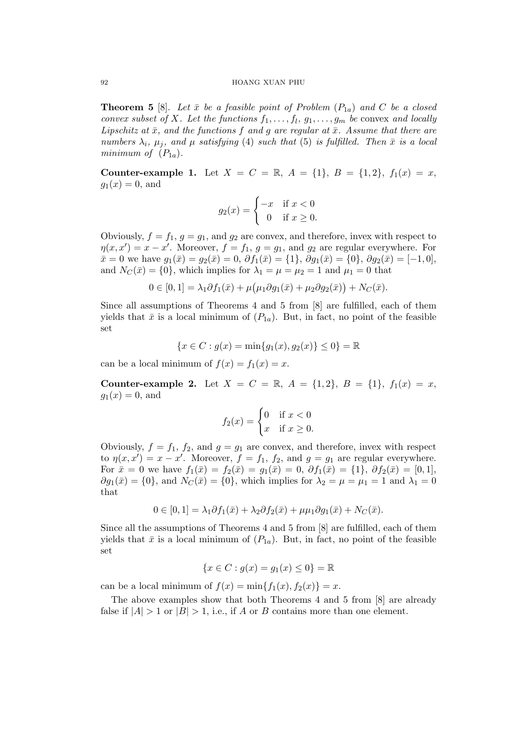**Theorem 5** [8]. Let  $\bar{x}$  be a feasible point of Problem  $(P_{1a})$  and C be a closed convex subset of X. Let the functions  $f_1, \ldots, f_l, g_1, \ldots, g_m$  be convex and locally Lipschitz at  $\bar{x}$ , and the functions f and q are regular at  $\bar{x}$ . Assume that there are numbers  $\lambda_i$ ,  $\mu_j$ , and  $\mu$  satisfying (4) such that (5) is fulfilled. Then  $\bar{x}$  is a local minimum of  $(P_{1a})$ .

Counter-example 1. Let  $X = C = \mathbb{R}$ ,  $A = \{1\}$ ,  $B = \{1, 2\}$ ,  $f_1(x) = x$ ,  $g_1(x) = 0$ , and

$$
g_2(x) = \begin{cases} -x & \text{if } x < 0\\ 0 & \text{if } x \ge 0. \end{cases}
$$

Obviously,  $f = f_1, g = g_1$ , and  $g_2$  are convex, and therefore, invex with respect to  $\eta(x, x') = x - x'$ . Moreover,  $f = f_1, g = g_1$ , and  $g_2$  are regular everywhere. For  $\bar{x}=0$  we have  $g_1(\bar{x})=g_2(\bar{x})=0$ ,  $\partial f_1(\bar{x})=\{1\}$ ,  $\partial g_1(\bar{x})=\{0\}$ ,  $\partial g_2(\bar{x})=[-1,0]$ , and  $N_C(\bar{x}) = \{0\}$ , which implies for  $\lambda_1 = \mu = \mu_2 = 1$  and  $\mu_1 = 0$  that

$$
0\in[0,1]=\lambda_1\partial f_1(\bar{x})+\mu(\mu_1\partial g_1(\bar{x})+\mu_2\partial g_2(\bar{x}))+N_C(\bar{x}).
$$

Since all assumptions of Theorems 4 and 5 from [8] are fulfilled, each of them yields that  $\bar{x}$  is a local minimum of  $(P_{1a})$ . But, in fact, no point of the feasible set

$$
\{x \in C : g(x) = \min\{g_1(x), g_2(x)\} \le 0\} = \mathbb{R}
$$

can be a local minimum of  $f(x) = f_1(x) = x$ .

Counter-example 2. Let  $X = C = \mathbb{R}$ ,  $A = \{1,2\}$ ,  $B = \{1\}$ ,  $f_1(x) = x$ ,  $g_1(x) = 0$ , and

$$
f_2(x) = \begin{cases} 0 & \text{if } x < 0\\ x & \text{if } x \ge 0. \end{cases}
$$

Obviously,  $f = f_1, f_2$ , and  $g = g_1$  are convex, and therefore, invex with respect to  $\eta(x, x') = x - x'$ . Moreover,  $f = f_1, f_2$ , and  $g = g_1$  are regular everywhere. For  $\bar{x} = 0$  we have  $f_1(\bar{x}) = f_2(\bar{x}) = g_1(\bar{x}) = 0$ ,  $\partial f_1(\bar{x}) = \{1\}$ ,  $\partial f_2(\bar{x}) = [0, 1]$ ,  $\partial g_1(\bar{x}) = \{0\}$ , and  $N_C(\bar{x}) = \{0\}$ , which implies for  $\lambda_2 = \mu = \mu_1 = 1$  and  $\lambda_1 = 0$ that

$$
0 \in [0,1] = \lambda_1 \partial f_1(\bar{x}) + \lambda_2 \partial f_2(\bar{x}) + \mu \mu_1 \partial g_1(\bar{x}) + N_C(\bar{x}).
$$

Since all the assumptions of Theorems 4 and 5 from [8] are fulfilled, each of them yields that  $\bar{x}$  is a local minimum of  $(P_{1a})$ . But, in fact, no point of the feasible set

$$
\{x \in C : g(x) = g_1(x) \le 0\} = \mathbb{R}
$$

can be a local minimum of  $f(x) = \min\{f_1(x), f_2(x)\} = x$ .

The above examples show that both Theorems 4 and 5 from [8] are already false if  $|A| > 1$  or  $|B| > 1$ , i.e., if A or B contains more than one element.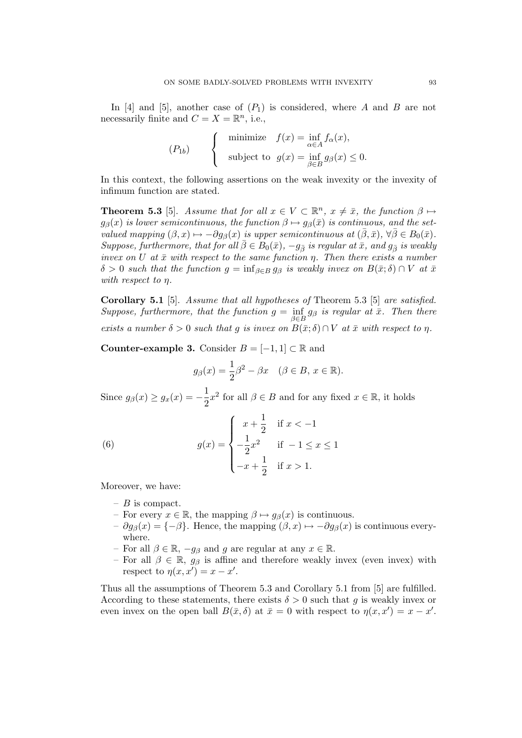In [4] and [5], another case of  $(P_1)$  is considered, where A and B are not necessarily finite and  $C = X = \mathbb{R}^n$ , i.e.,

$$
(P_{1b}) \qquad \begin{cases} \text{minimize} & f(x) = \inf_{\alpha \in A} f_{\alpha}(x), \\ \text{subject to} & g(x) = \inf_{\beta \in B} g_{\beta}(x) \le 0. \end{cases}
$$

In this context, the following assertions on the weak invexity or the invexity of infimum function are stated.

**Theorem 5.3** [5]. Assume that for all  $x \in V \subset \mathbb{R}^n$ ,  $x \neq \bar{x}$ , the function  $\beta \mapsto \bar{x}$  $g_{\beta}(x)$  is lower semicontinuous, the function  $\beta \mapsto g_{\beta}(\bar{x})$  is continuous, and the setvalued mapping  $(\beta, x) \mapsto -\partial g_{\beta}(x)$  is upper semicontinuous at  $(\bar{\beta}, \bar{x}), \forall \bar{\beta} \in B_0(\bar{x})$ . Suppose, furthermore, that for all  $\bar{\beta} \in B_0(\bar{x}), -g_{\bar{\beta}}$  is regular at  $\bar{x}$ , and  $g_{\bar{\beta}}$  is weakly invex on U at  $\bar{x}$  with respect to the same function  $\eta$ . Then there exists a number  $\delta > 0$  such that the function  $g = \inf_{\beta \in B} g_{\beta}$  is weakly invex on  $B(\bar{x}; \delta) \cap V$  at  $\bar{x}$ with respect to η.

**Corollary 5.1** [5]. Assume that all hypotheses of Theorem 5.3 [5] are satisfied. Suppose, furthermore, that the function  $g = \inf_{\beta \in B} g_{\beta}$  is regular at  $\bar{x}$ . Then there exists a number  $\delta > 0$  such that g is invex on  $B(\bar{x}; \delta) \cap V$  at  $\bar{x}$  with respect to  $\eta$ .

**Counter-example 3.** Consider  $B = [-1, 1] \subset \mathbb{R}$  and

$$
g_{\beta}(x) = \frac{1}{2}\beta^2 - \beta x \quad (\beta \in B, x \in \mathbb{R}).
$$

Since  $g_{\beta}(x) \ge g_x(x) = -\frac{1}{2}$  $\frac{1}{2}x^2$  for all  $\beta \in B$  and for any fixed  $x \in \mathbb{R}$ , it holds

(6) 
$$
g(x) = \begin{cases} x + \frac{1}{2} & \text{if } x < -1 \\ -\frac{1}{2}x^2 & \text{if } -1 \le x \le 1 \\ -x + \frac{1}{2} & \text{if } x > 1. \end{cases}
$$

Moreover, we have:

- $B$  is compact.
- For every  $x \in \mathbb{R}$ , the mapping  $\beta \mapsto g_{\beta}(x)$  is continuous.
- $\partial g_{\beta}(x) = \{-\beta\}.$  Hence, the mapping  $(\beta, x) \mapsto -\partial g_{\beta}(x)$  is continuous everywhere.
- For all  $\beta \in \mathbb{R}$ ,  $-g_{\beta}$  and g are regular at any  $x \in \mathbb{R}$ .
- For all  $\beta \in \mathbb{R}$ ,  $g_{\beta}$  is affine and therefore weakly invex (even invex) with respect to  $\eta(x, x') = x - x'$ .

Thus all the assumptions of Theorem 5.3 and Corollary 5.1 from [5] are fulfilled. According to these statements, there exists  $\delta > 0$  such that q is weakly invex or even invex on the open ball  $B(\bar{x}, \delta)$  at  $\bar{x} = 0$  with respect to  $\eta(x, x') = x - x'$ .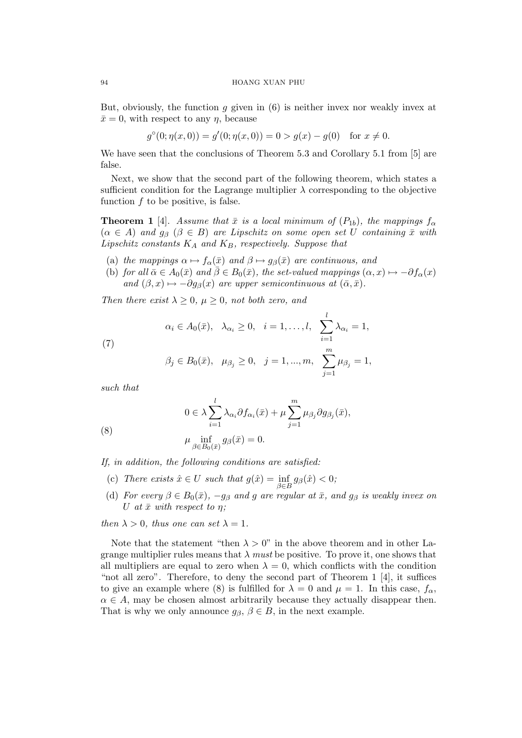## 94 HOANG XUAN PHU

But, obviously, the function q given in  $(6)$  is neither invex nor weakly invex at  $\bar{x}=0$ , with respect to any  $\eta$ , because

$$
g^{\circ}(0; \eta(x, 0)) = g'(0; \eta(x, 0)) = 0 > g(x) - g(0) \text{ for } x \neq 0.
$$

We have seen that the conclusions of Theorem 5.3 and Corollary 5.1 from [5] are false.

Next, we show that the second part of the following theorem, which states a sufficient condition for the Lagrange multiplier  $\lambda$  corresponding to the objective function  $f$  to be positive, is false.

**Theorem 1** [4]. Assume that  $\bar{x}$  is a local minimum of  $(P_{1b})$ , the mappings  $f_{\alpha}$  $(\alpha \in A)$  and  $g_{\beta}$   $(\beta \in B)$  are Lipschitz on some open set U containing  $\bar{x}$  with Lipschitz constants  $K_A$  and  $K_B$ , respectively. Suppose that

- (a) the mappings  $\alpha \mapsto f_{\alpha}(\bar{x})$  and  $\beta \mapsto g_{\beta}(\bar{x})$  are continuous, and
- (b) for all  $\bar{\alpha} \in A_0(\bar{x})$  and  $\bar{\beta} \in B_0(\bar{x})$ , the set-valued mappings  $(\alpha, x) \mapsto -\partial f_\alpha(x)$ and  $(\beta, x) \mapsto -\partial g_{\beta}(x)$  are upper semicontinuous at  $(\bar{\alpha}, \bar{x})$ .

Then there exist  $\lambda \geq 0$ ,  $\mu \geq 0$ , not both zero, and

(7) 
$$
\alpha_i \in A_0(\bar{x}), \quad \lambda_{\alpha_i} \ge 0, \quad i = 1, ..., l, \quad \sum_{i=1}^l \lambda_{\alpha_i} = 1,
$$

$$
\beta_j \in B_0(\bar{x}), \quad \mu_{\beta_j} \ge 0, \quad j = 1, ..., m, \quad \sum_{j=1}^m \mu_{\beta_j} = 1,
$$

such that

$$
0 \in \lambda \sum_{i=1}^l \lambda_{\alpha_i} \partial f_{\alpha_i}(\bar{x}) + \mu \sum_{j=1}^m \mu_{\beta_j} \partial g_{\beta_j}(\bar{x}),
$$

(8) 
$$
\mu \inf_{\beta \in B_0(\bar{x})} g_{\beta}(\bar{x}) = 0.
$$

If, in addition, the following conditions are satisfied:

- (c) There exists  $\hat{x} \in U$  such that  $g(\hat{x}) = \inf_{\beta \in B} g_{\beta}(\hat{x}) < 0;$
- (d) For every  $\beta \in B_0(\bar{x})$ ,  $-g_\beta$  and g are regular at  $\bar{x}$ , and  $g_\beta$  is weakly invex on U at  $\bar{x}$  with respect to  $\eta$ ;

then  $\lambda > 0$ , thus one can set  $\lambda = 1$ .

Note that the statement "then  $\lambda > 0$ " in the above theorem and in other Lagrange multiplier rules means that  $\lambda$  must be positive. To prove it, one shows that all multipliers are equal to zero when  $\lambda = 0$ , which conflicts with the condition "not all zero". Therefore, to deny the second part of Theorem  $1 \; 4$ , it suffices to give an example where (8) is fulfilled for  $\lambda = 0$  and  $\mu = 1$ . In this case,  $f_{\alpha}$ ,  $\alpha \in A$ , may be chosen almost arbitrarily because they actually disappear then. That is why we only announce  $g_{\beta}, \beta \in B$ , in the next example.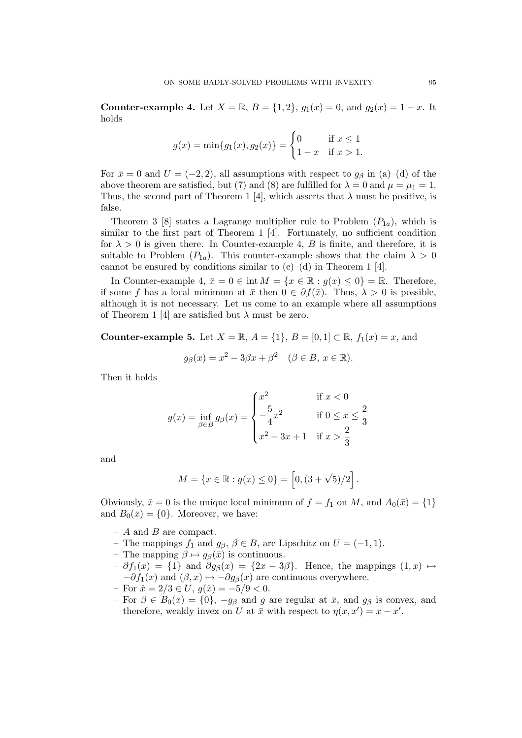**Counter-example 4.** Let  $X = \mathbb{R}$ ,  $B = \{1, 2\}$ ,  $g_1(x) = 0$ , and  $g_2(x) = 1 - x$ . It holds

$$
g(x) = \min\{g_1(x), g_2(x)\} = \begin{cases} 0 & \text{if } x \le 1\\ 1 - x & \text{if } x > 1. \end{cases}
$$

For  $\bar{x} = 0$  and  $U = (-2, 2)$ , all assumptions with respect to  $g_{\beta}$  in (a)–(d) of the above theorem are satisfied, but (7) and (8) are fulfilled for  $\lambda = 0$  and  $\mu = \mu_1 = 1$ . Thus, the second part of Theorem 1 [4], which asserts that  $\lambda$  must be positive, is false.

Theorem 3 [8] states a Lagrange multiplier rule to Problem  $(P_{1a})$ , which is similar to the first part of Theorem 1 [4]. Fortunately, no sufficient condition for  $\lambda > 0$  is given there. In Counter-example 4, B is finite, and therefore, it is suitable to Problem  $(P_{1a})$ . This counter-example shows that the claim  $\lambda > 0$ cannot be ensured by conditions similar to  $(c)$ – $(d)$  in Theorem 1 [4].

In Counter-example 4,  $\bar{x} = 0 \in \text{int } M = \{x \in \mathbb{R} : g(x) \le 0\} = \mathbb{R}$ . Therefore, if some f has a local minimum at  $\bar{x}$  then  $0 \in \partial f(\bar{x})$ . Thus,  $\lambda > 0$  is possible, although it is not necessary. Let us come to an example where all assumptions of Theorem 1 [4] are satisfied but  $\lambda$  must be zero.

Counter-example 5. Let  $X = \mathbb{R}$ ,  $A = \{1\}$ ,  $B = [0, 1] \subset \mathbb{R}$ ,  $f_1(x) = x$ , and

$$
g_{\beta}(x) = x^2 - 3\beta x + \beta^2 \quad (\beta \in B, x \in \mathbb{R}).
$$

Then it holds

$$
g(x) = \inf_{\beta \in B} g_{\beta}(x) = \begin{cases} x^2 & \text{if } x < 0 \\ -\frac{5}{4}x^2 & \text{if } 0 \le x \le \frac{2}{3} \\ x^2 - 3x + 1 & \text{if } x > \frac{2}{3} \end{cases}
$$

and

$$
M = \{x \in \mathbb{R} : g(x) \le 0\} = [0, (3 + \sqrt{5})/2].
$$

Obviously,  $\bar{x} = 0$  is the unique local minimum of  $f = f_1$  on M, and  $A_0(\bar{x}) = \{1\}$ and  $B_0(\bar{x}) = \{0\}$ . Moreover, we have:

- $A$  and  $B$  are compact.
- The mappings  $f_1$  and  $g_\beta$ ,  $\beta \in B$ , are Lipschitz on  $U = (-1, 1)$ .
- The mapping  $\beta \mapsto g_{\beta}(\bar{x})$  is continuous.
- $\partial f_1(x) = \{1\}$  and  $\partial g_\beta(x) = \{2x 3\beta\}$ . Hence, the mappings  $(1, x) \mapsto$  $-\partial f_1(x)$  and  $(\beta, x) \mapsto -\partial g_\beta(x)$  are continuous everywhere.
- For  $\hat{x} = 2/3 \in U$ ,  $g(\hat{x}) = -5/9 < 0$ .
- For  $\beta \in B_0(\bar{x}) = \{0\}$ ,  $-g_\beta$  and g are regular at  $\bar{x}$ , and  $g_\beta$  is convex, and therefore, weakly invex on U at  $\bar{x}$  with respect to  $\eta(x, x') = x - x'$ .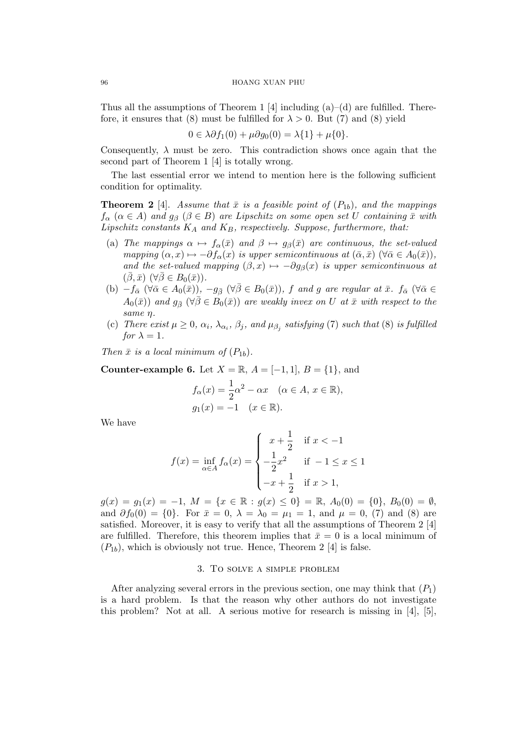Thus all the assumptions of Theorem 1 [4] including  $(a)$ –(d) are fulfilled. Therefore, it ensures that (8) must be fulfilled for  $\lambda > 0$ . But (7) and (8) yield

$$
0 \in \lambda \partial f_1(0) + \mu \partial g_0(0) = \lambda \{1\} + \mu \{0\}.
$$

Consequently,  $\lambda$  must be zero. This contradiction shows once again that the second part of Theorem 1 [4] is totally wrong.

The last essential error we intend to mention here is the following sufficient condition for optimality.

**Theorem 2** [4]. Assume that  $\bar{x}$  is a feasible point of  $(P_{1b})$ , and the mappings  $f_{\alpha}$   $(\alpha \in A)$  and  $g_{\beta}$   $(\beta \in B)$  are Lipschitz on some open set U containing  $\bar{x}$  with Lipschitz constants  $K_A$  and  $K_B$ , respectively. Suppose, furthermore, that:

- (a) The mappings  $\alpha \mapsto f_\alpha(\bar{x})$  and  $\beta \mapsto g_\beta(\bar{x})$  are continuous, the set-valued mapping  $(\alpha, x) \mapsto -\partial f_{\alpha}(x)$  is upper semicontinuous at  $(\bar{\alpha}, \bar{x})$   $(\forall \bar{\alpha} \in A_0(\bar{x})),$ and the set-valued mapping  $(\beta, x) \mapsto -\partial g_{\beta}(x)$  is upper semicontinuous at  $(\bar{\beta}, \bar{x})$   $(\forall \bar{\beta} \in B_0(\bar{x})).$
- (b)  $-f_{\bar{\alpha}}$  ( $\forall \bar{\alpha} \in A_0(\bar{x})$ ),  $-g_{\bar{\beta}}$  ( $\forall \bar{\beta} \in B_0(\bar{x})$ ), f and g are regular at  $\bar{x}$ .  $f_{\bar{\alpha}}$  ( $\forall \bar{\alpha} \in A_0(\bar{x})$ ),  $A_0(\bar{x})$  and  $g_{\bar{\beta}}$  ( $\forall \bar{\beta} \in B_0(\bar{x})$ ) are weakly invex on U at  $\bar{x}$  with respect to the same η.
- (c) There exist  $\mu \geq 0$ ,  $\alpha_i$ ,  $\lambda_{\alpha_i}$ ,  $\beta_j$ , and  $\mu_{\beta_j}$  satisfying (7) such that (8) is fulfilled for  $\lambda = 1$ .

Then  $\bar{x}$  is a local minimum of  $(P_{1b})$ .

Counter-example 6. Let  $X = \mathbb{R}$ ,  $A = [-1, 1]$ ,  $B = \{1\}$ , and

$$
f_{\alpha}(x) = \frac{1}{2}\alpha^2 - \alpha x \quad (\alpha \in A, x \in \mathbb{R}),
$$
  

$$
g_1(x) = -1 \quad (x \in \mathbb{R}).
$$

We have

$$
f(x) = \inf_{\alpha \in A} f_{\alpha}(x) = \begin{cases} x + \frac{1}{2} & \text{if } x < -1 \\ -\frac{1}{2}x^2 & \text{if } -1 \le x \le 1 \\ -x + \frac{1}{2} & \text{if } x > 1, \end{cases}
$$

 $g(x) = g_1(x) = -1, M = \{x \in \mathbb{R} : g(x) \le 0\} = \mathbb{R}, A_0(0) = \{0\}, B_0(0) = \emptyset,$ and  $\partial f_0(0) = \{0\}$ . For  $\bar{x} = 0$ ,  $\lambda = \lambda_0 = \mu_1 = 1$ , and  $\mu = 0$ , (7) and (8) are satisfied. Moreover, it is easy to verify that all the assumptions of Theorem 2 [4] are fulfilled. Therefore, this theorem implies that  $\bar{x} = 0$  is a local minimum of  $(P_{1b})$ , which is obviously not true. Hence, Theorem 2 [4] is false.

# 3. To solve a simple problem

After analyzing several errors in the previous section, one may think that  $(P_1)$ is a hard problem. Is that the reason why other authors do not investigate this problem? Not at all. A serious motive for research is missing in [4], [5],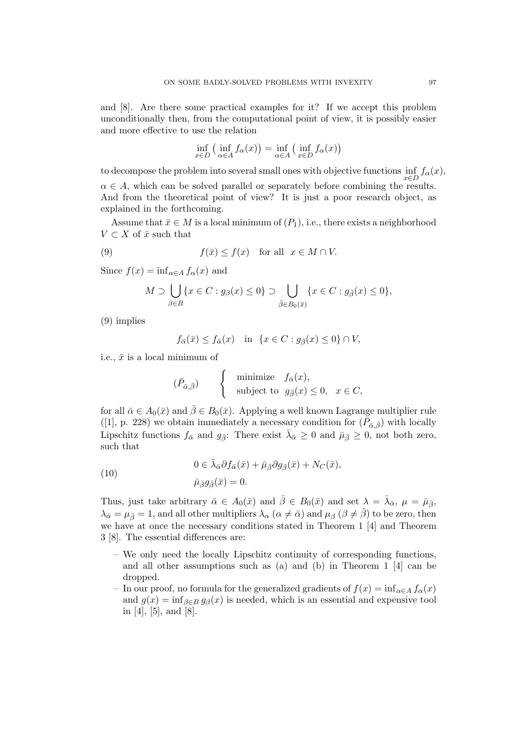and [8]. Are there some practical examples for it? If we accept this problem unconditionally then, from the computational point of view, it is possibly easier and more effective to use the relation

$$
\inf_{x \in D} \left( \inf_{\alpha \in A} f_{\alpha}(x) \right) = \inf_{\alpha \in A} \left( \inf_{x \in D} f_{\alpha}(x) \right)
$$

to decompose the problem into several small ones with objective functions  $\inf_{x \in D} f_{\alpha}(x)$ ,  $\alpha \in A$ , which can be solved parallel or separately before combining the results. And from the theoretical point of view? It is just a poor research object, as explained in the forthcoming.

Assume that  $\bar{x} \in M$  is a local minimum of  $(P_1)$ , i.e., there exists a neighborhood  $V \subset X$  of  $\bar{x}$  such that

(9) 
$$
f(\bar{x}) \le f(x) \quad \text{for all} \ \ x \in M \cap V.
$$

Since  $f(x) = \inf_{\alpha \in A} f_{\alpha}(x)$  and

$$
M \supset \bigcup_{\beta \in B} \{x \in C : g_{\beta}(x) \le 0\} \supset \bigcup_{\bar{\beta} \in B_0(\bar{x})} \{x \in C : g_{\bar{\beta}}(x) \le 0\},\
$$

(9) implies

$$
f_{\bar{\alpha}}(\bar{x}) \le f_{\bar{\alpha}}(x) \quad \text{in} \ \{x \in C : g_{\bar{\beta}}(x) \le 0\} \cap V,
$$

i.e.,  $\bar{x}$  is a local minimum of

$$
(\bar{P}_{\bar{\alpha},\bar{\beta}}) \qquad \left\{ \quad \begin{array}{ll} \mbox{minimize} & f_{\bar{\alpha}}(x), \\ \mbox{subject to} & g_{\bar{\beta}}(x) \leq 0, \quad x \in C, \end{array} \right.
$$

for all  $\bar{\alpha} \in A_0(\bar{x})$  and  $\bar{\beta} \in B_0(\bar{x})$ . Applying a well known Lagrange multiplier rule ([1], p. 228) we obtain immediately a necessary condition for  $(\vec{\bar{P}}_{\bar{\alpha},\bar{\beta}})$  with locally Lipschitz functions  $f_{\bar{\alpha}}$  and  $g_{\bar{\beta}}$ : There exist  $\bar{\lambda}_{\bar{\alpha}} \geq 0$  and  $\bar{\mu}_{\bar{\beta}} \geq 0$ , not both zero, such that

(10) 
$$
0 \in \bar{\lambda}_{\bar{\alpha}} \partial f_{\bar{\alpha}}(\bar{x}) + \bar{\mu}_{\bar{\beta}} \partial g_{\bar{\beta}}(\bar{x}) + N_C(\bar{x}),
$$

$$
\bar{\mu}_{\bar{\beta}} g_{\bar{\beta}}(\bar{x}) = 0.
$$

Thus, just take arbitrary  $\bar{\alpha} \in A_0(\bar{x})$  and  $\bar{\beta} \in B_0(\bar{x})$  and set  $\lambda = \bar{\lambda}_{\bar{\alpha}}, \mu = \bar{\mu}_{\bar{\beta}},$  $\lambda_{\bar{\alpha}} = \mu_{\bar{\beta}} = 1$ , and all other multipliers  $\lambda_{\alpha}$  ( $\alpha \neq \bar{\alpha}$ ) and  $\mu_{\beta}$  ( $\beta \neq \bar{\beta}$ ) to be zero, then we have at once the necessary conditions stated in Theorem 1 [4] and Theorem 3 [8]. The essential differences are:

- We only need the locally Lipschitz continuity of corresponding functions, and all other assumptions such as (a) and (b) in Theorem 1 [4] can be dropped.
- In our proof, no formula for the generalized gradients of  $f(x) = \inf_{\alpha \in A} f_{\alpha}(x)$ and  $g(x) = \inf_{\beta \in B} g_{\beta}(x)$  is needed, which is an essential and expensive tool in [4], [5], and [8].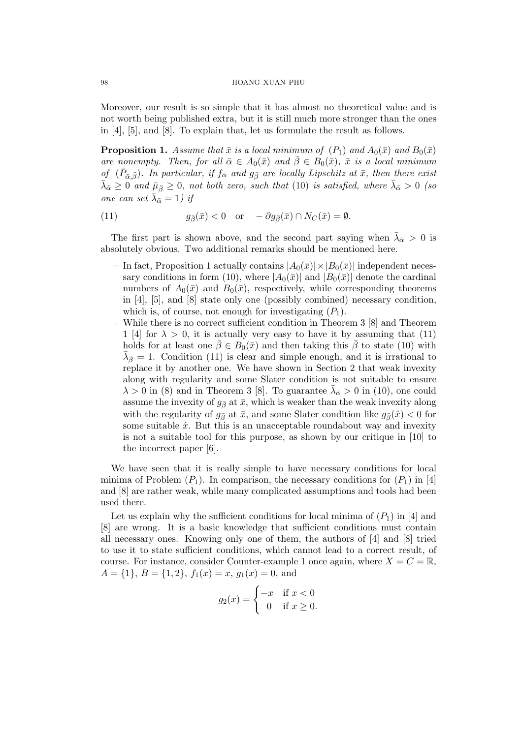Moreover, our result is so simple that it has almost no theoretical value and is not worth being published extra, but it is still much more stronger than the ones in [4], [5], and [8]. To explain that, let us formulate the result as follows.

**Proposition 1.** Assume that  $\bar{x}$  is a local minimum of  $(P_1)$  and  $A_0(\bar{x})$  and  $B_0(\bar{x})$ are nonempty. Then, for all  $\bar{\alpha} \in A_0(\bar{x})$  and  $\bar{\beta} \in B_0(\bar{x})$ ,  $\bar{x}$  is a local minimum of  $(\bar{P}_{\bar{\alpha},\bar{\beta}})$ . In particular, if  $f_{\bar{\alpha}}$  and  $g_{\bar{\beta}}$  are locally Lipschitz at  $\bar{x}$ , then there exist  $\bar{\lambda}_{\bar{\alpha}} \geq 0$  and  $\bar{\mu}_{\bar{\beta}} \geq 0$ , not both zero, such that (10) is satisfied, where  $\bar{\lambda}_{\bar{\alpha}} > 0$  (so one can set  $\bar{\lambda}_{\bar{\alpha}} = 1$ ) if

(11) 
$$
g_{\bar{\beta}}(\bar{x}) < 0 \quad \text{or} \quad -\partial g_{\bar{\beta}}(\bar{x}) \cap N_C(\bar{x}) = \emptyset.
$$

The first part is shown above, and the second part saying when  $\bar{\lambda}_{\bar{\alpha}} > 0$  is absolutely obvious. Two additional remarks should be mentioned here.

- In fact, Proposition 1 actually contains  $|A_0(\bar{x})| \times |B_0(\bar{x})|$  independent necessary conditions in form (10), where  $|A_0(\bar{x})|$  and  $|B_0(\bar{x})|$  denote the cardinal numbers of  $A_0(\bar{x})$  and  $B_0(\bar{x})$ , respectively, while corresponding theorems in [4], [5], and [8] state only one (possibly combined) necessary condition, which is, of course, not enough for investigating  $(P_1)$ .
- While there is no correct sufficient condition in Theorem 3 [8] and Theorem 1 [4] for  $\lambda > 0$ , it is actually very easy to have it by assuming that (11) holds for at least one  $\bar{\beta} \in B_0(\bar{x})$  and then taking this  $\bar{\beta}$  to state (10) with  $\bar{\lambda}_{\bar{\beta}}=1$ . Condition (11) is clear and simple enough, and it is irrational to replace it by another one. We have shown in Section 2 that weak invexity along with regularity and some Slater condition is not suitable to ensure  $\lambda > 0$  in (8) and in Theorem 3 [8]. To guarantee  $\bar{\lambda}_{\bar{\alpha}} > 0$  in (10), one could assume the invexity of  $g_{\bar{\beta}}$  at  $\bar{x}$ , which is weaker than the weak invexity along with the regularity of  $g_{\bar{\beta}}$  at  $\bar{x}$ , and some Slater condition like  $g_{\bar{\beta}}(\hat{x}) < 0$  for some suitable  $\hat{x}$ . But this is an unacceptable roundabout way and invexity is not a suitable tool for this purpose, as shown by our critique in [10] to the incorrect paper [6].

We have seen that it is really simple to have necessary conditions for local minima of Problem  $(P_1)$ . In comparison, the necessary conditions for  $(P_1)$  in [4] and [8] are rather weak, while many complicated assumptions and tools had been used there.

Let us explain why the sufficient conditions for local minima of  $(P_1)$  in [4] and [8] are wrong. It is a basic knowledge that sufficient conditions must contain all necessary ones. Knowing only one of them, the authors of [4] and [8] tried to use it to state sufficient conditions, which cannot lead to a correct result, of course. For instance, consider Counter-example 1 once again, where  $X = C = \mathbb{R}$ ,  $A = \{1\}, B = \{1, 2\}, f_1(x) = x, g_1(x) = 0, \text{ and }$ 

$$
g_2(x) = \begin{cases} -x & \text{if } x < 0\\ 0 & \text{if } x \ge 0. \end{cases}
$$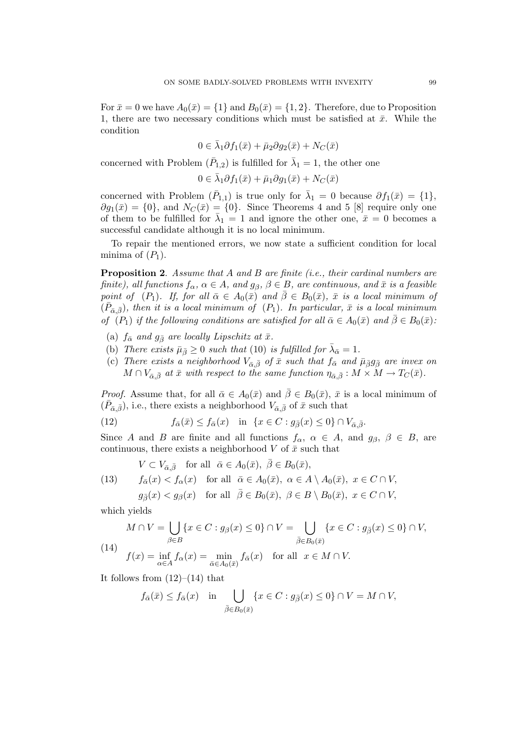For  $\bar{x} = 0$  we have  $A_0(\bar{x}) = \{1\}$  and  $B_0(\bar{x}) = \{1, 2\}$ . Therefore, due to Proposition 1, there are two necessary conditions which must be satisfied at  $\bar{x}$ . While the condition

$$
0 \in \bar{\lambda}_1 \partial f_1(\bar{x}) + \bar{\mu}_2 \partial g_2(\bar{x}) + N_C(\bar{x})
$$

concerned with Problem  $(\bar{P}_{1,2})$  is fulfilled for  $\bar{\lambda}_1 = 1$ , the other one

$$
0 \in \bar{\lambda}_1 \partial f_1(\bar{x}) + \bar{\mu}_1 \partial g_1(\bar{x}) + N_C(\bar{x})
$$

concerned with Problem  $(\bar{P}_{1,1})$  is true only for  $\bar{\lambda}_1 = 0$  because  $\partial f_1(\bar{x}) = \{1\},\$  $\partial g_1(\bar{x}) = \{0\}$ , and  $N_C(\bar{x}) = \{0\}$ . Since Theorems 4 and 5 [8] require only one of them to be fulfilled for  $\bar{\lambda}_1 = 1$  and ignore the other one,  $\bar{x} = 0$  becomes a successful candidate although it is no local minimum.

To repair the mentioned errors, we now state a sufficient condition for local minima of  $(P_1)$ .

**Proposition 2.** Assume that A and B are finite (i.e., their cardinal numbers are finite), all functions  $f_{\alpha}$ ,  $\alpha \in A$ , and  $g_{\beta}$ ,  $\beta \in B$ , are continuous, and  $\bar{x}$  is a feasible point of  $(P_1)$ . If, for all  $\bar{\alpha} \in A_0(\bar{x})$  and  $\bar{\beta} \in B_0(\bar{x})$ ,  $\bar{x}$  is a local minimum of  $(\bar{P}_{\bar{\alpha},\bar{\beta}})$ , then it is a local minimum of  $(P_1)$ . In particular,  $\bar{x}$  is a local minimum of  $(P_1)$  if the following conditions are satisfied for all  $\bar{\alpha} \in A_0(\bar{x})$  and  $\bar{\beta} \in B_0(\bar{x})$ :

- (a)  $f_{\bar{\alpha}}$  and  $g_{\bar{\beta}}$  are locally Lipschitz at  $\bar{x}$ .
- (b) There exists  $\bar{\mu}_{\bar{\beta}} \geq 0$  such that (10) is fulfilled for  $\bar{\lambda}_{\bar{\alpha}} = 1$ .
- (c) There exists a neighborhood  $V_{\bar{\alpha},\bar{\beta}}$  of  $\bar{x}$  such that  $f_{\bar{\alpha}}$  and  $\bar{\mu}_{\bar{\beta}}g_{\bar{\beta}}$  are invex on  $M \cap V_{\bar{\alpha}, \bar{\beta}}$  at  $\bar{x}$  with respect to the same function  $\eta_{\bar{\alpha}, \bar{\beta}} : M \times M \to T_C(\bar{x})$ .

*Proof.* Assume that, for all  $\bar{\alpha} \in A_0(\bar{x})$  and  $\bar{\beta} \in B_0(\bar{x})$ ,  $\bar{x}$  is a local minimum of  $(\bar{P}_{\bar{\alpha},\bar{\beta}})$ , i.e., there exists a neighborhood  $V_{\bar{\alpha},\bar{\beta}}$  of  $\bar{x}$  such that

(12) 
$$
f_{\bar{\alpha}}(\bar{x}) \le f_{\bar{\alpha}}(x) \quad \text{in} \quad \{x \in C : g_{\bar{\beta}}(x) \le 0\} \cap V_{\bar{\alpha},\bar{\beta}}.
$$

Since A and B are finite and all functions  $f_{\alpha}$ ,  $\alpha \in A$ , and  $g_{\beta}$ ,  $\beta \in B$ , are continuous, there exists a neighborhood  $V$  of  $\bar{x}$  such that

 $V \subset V_{\bar{\alpha},\bar{\beta}}$  for all  $\bar{\alpha} \in A_0(\bar{x}), \ \bar{\beta} \in B_0(\bar{x}),$ 

(13) 
$$
f_{\bar{\alpha}}(x) < f_{\alpha}(x)
$$
 for all  $\bar{\alpha} \in A_0(\bar{x}), \ \alpha \in A \setminus A_0(\bar{x}), \ x \in C \cap V$ ,

$$
g_{\bar{\beta}}(x) < g_{\beta}(x)
$$
 for all  $\bar{\beta} \in B_0(\bar{x}), \ \beta \in B \setminus B_0(\bar{x}), \ x \in C \cap V$ ,

which yields

$$
(14) \quad M \cap V = \bigcup_{\beta \in B} \{x \in C : g_{\beta}(x) \le 0\} \cap V = \bigcup_{\overline{\beta} \in B_0(\overline{x})} \{x \in C : g_{\overline{\beta}}(x) \le 0\} \cap V,
$$
\n
$$
(14) \quad f(x) = \inf_{\alpha \in A} f_{\alpha}(x) = \min_{\overline{\alpha} \in A_0(\overline{x})} f_{\overline{\alpha}}(x) \quad \text{for all} \ \ x \in M \cap V.
$$

It follows from  $(12)$ – $(14)$  that

$$
f_{\bar{\alpha}}(\bar{x}) \leq f_{\bar{\alpha}}(x)
$$
 in  $\bigcup_{\bar{\beta} \in B_0(\bar{x})} \{x \in C : g_{\bar{\beta}}(x) \leq 0\} \cap V = M \cap V$ ,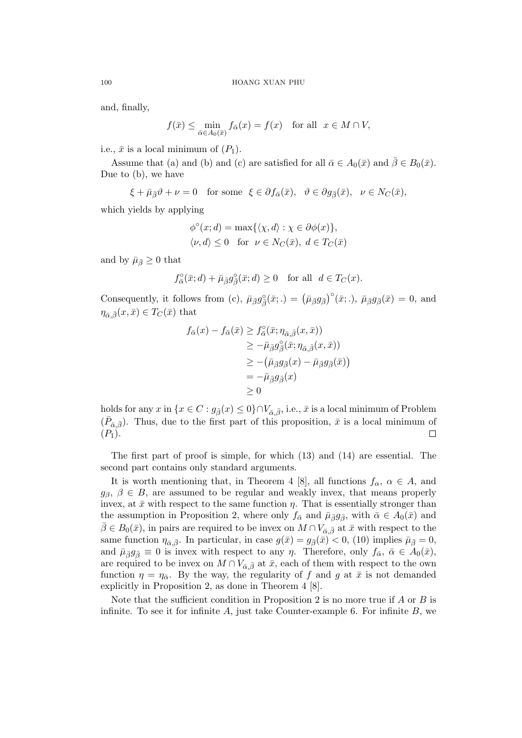and, finally,

$$
f(\bar{x}) \le \min_{\bar{\alpha} \in A_0(\bar{x})} f_{\bar{\alpha}}(x) = f(x) \quad \text{for all} \ \ x \in M \cap V,
$$

i.e.,  $\bar{x}$  is a local minimum of  $(P_1)$ .

Assume that (a) and (b) and (c) are satisfied for all  $\bar{\alpha} \in A_0(\bar{x})$  and  $\bar{\beta} \in B_0(\bar{x})$ . Due to (b), we have

 $\xi + \bar{\mu}_{\bar{\beta}}\vartheta + \nu = 0$  for some  $\xi \in \partial f_{\bar{\alpha}}(\bar{x}), \quad \vartheta \in \partial g_{\bar{\beta}}(\bar{x}), \quad \nu \in N_C(\bar{x}),$ 

which yields by applying

$$
\phi^{\circ}(x; d) = \max\{\langle \chi, d \rangle : \chi \in \partial \phi(x)\},\
$$
  

$$
\langle \nu, d \rangle \leq 0 \quad \text{for } \nu \in N_C(\bar{x}), d \in T_C(\bar{x})
$$

and by  $\bar{\mu}_{\bar{\beta}} \geq 0$  that

$$
f^{\circ}_{\bar{\alpha}}(\bar{x};d)+\bar{\mu}_{\bar{\beta}}g^{\circ}_{\bar{\beta}}(\bar{x};d)\geq 0\quad \text{for all}\ \ d\in T_C(x).
$$

Consequently, it follows from (c),  $\bar{\mu}_{\bar{\beta}} g_{\bar{\beta}}^{\circ}(\bar{x};.) = (\bar{\mu}_{\bar{\beta}} g_{\bar{\beta}})$ ¢◦  $(\bar{x}; .), \bar{\mu}_{\bar{\beta}} g_{\bar{\beta}}(\bar{x}) = 0$ , and  $\eta_{\bar{\alpha},\bar{\beta}}(x,\bar{x}) \in T_C(\bar{x})$  that

$$
f_{\bar{\alpha}}(x) - f_{\bar{\alpha}}(\bar{x}) \ge f_{\bar{\alpha}}^{\circ}(\bar{x}; \eta_{\bar{\alpha}, \bar{\beta}}(x, \bar{x}))
$$
  
\n
$$
\ge -\bar{\mu}_{\bar{\beta}} g_{\bar{\beta}}^{\circ}(\bar{x}; \eta_{\bar{\alpha}, \bar{\beta}}(x, \bar{x}))
$$
  
\n
$$
\ge -(\bar{\mu}_{\bar{\beta}} g_{\bar{\beta}}(x) - \bar{\mu}_{\bar{\beta}} g_{\bar{\beta}}(\bar{x}))
$$
  
\n
$$
= -\bar{\mu}_{\bar{\beta}} g_{\bar{\beta}}(x)
$$
  
\n
$$
\ge 0
$$

holds for any x in  $\{x \in C : g_{\bar{\beta}}(x) \leq 0\} \cap V_{\bar{\alpha},\bar{\beta}},$  i.e.,  $\bar{x}$  is a local minimum of Problem  $(\bar{P}_{\bar{\alpha},\bar{\beta}})$ . Thus, due to the first part of this proposition,  $\bar{x}$  is a local minimum of  $(P_1).$  $\Box$ 

The first part of proof is simple, for which (13) and (14) are essential. The second part contains only standard arguments.

It is worth mentioning that, in Theorem 4 [8], all functions  $f_{\alpha}$ ,  $\alpha \in A$ , and  $g_{\beta}, \beta \in B$ , are assumed to be regular and weakly invex, that means properly invex, at  $\bar{x}$  with respect to the same function  $\eta$ . That is essentially stronger than the assumption in Proposition 2, where only  $f_{\bar{\alpha}}$  and  $\bar{\mu}_{\bar{\beta}}g_{\bar{\beta}}$ , with  $\bar{\alpha} \in A_0(\bar{x})$  and  $\beta \in B_0(\bar{x})$ , in pairs are required to be invex on  $M \cap V_{\bar{\alpha}, \bar{\beta}}$  at  $\bar{x}$  with respect to the same function  $\eta_{\bar{\alpha}, \bar{\beta}}$ . In particular, in case  $g(\bar{x}) = g_{\bar{\beta}}(\bar{x}) < 0$ , (10) implies  $\bar{\mu}_{\bar{\beta}} = 0$ , and  $\bar{\mu}_{\bar{\beta}}g_{\bar{\beta}}\equiv 0$  is invex with respect to any  $\eta$ . Therefore, only  $f_{\bar{\alpha}}, \bar{\alpha} \in A_0(\bar{x}),$ are required to be invex on  $M \cap V_{\bar{\alpha},\bar{\beta}}$  at  $\bar{x}$ , each of them with respect to the own function  $\eta = \eta_{\bar{\alpha}}$ . By the way, the regularity of f and g at  $\bar{x}$  is not demanded explicitly in Proposition 2, as done in Theorem 4 [8].

Note that the sufficient condition in Proposition 2 is no more true if  $A$  or  $B$  is infinite. To see it for infinite  $A$ , just take Counter-example 6. For infinite  $B$ , we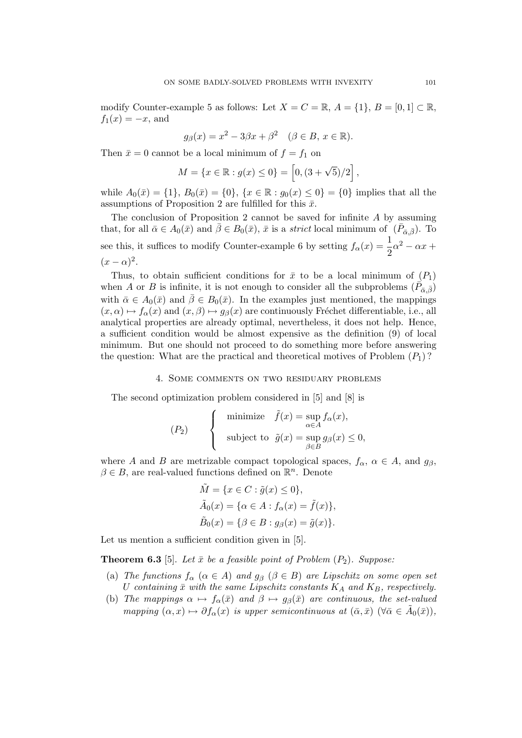modify Counter-example 5 as follows: Let  $X = C = \mathbb{R}, A = \{1\}, B = [0, 1] \subset \mathbb{R},$  $f_1(x) = -x$ , and

$$
g_{\beta}(x) = x^2 - 3\beta x + \beta^2 \quad (\beta \in B, x \in \mathbb{R}).
$$

Then  $\bar{x} = 0$  cannot be a local minimum of  $f = f_1$  on

$$
M = \{x \in \mathbb{R} : g(x) \le 0\} = [0, (3 + \sqrt{5})/2],
$$

while  $A_0(\bar{x}) = \{1\}, B_0(\bar{x}) = \{0\}, \{x \in \mathbb{R} : g_0(x) \leq 0\} = \{0\}$  implies that all the assumptions of Proposition 2 are fulfilled for this  $\bar{x}$ .

The conclusion of Proposition 2 cannot be saved for infinite  $A$  by assuming that, for all  $\bar{\alpha} \in A_0(\bar{x})$  and  $\bar{\beta} \in B_0(\bar{x})$ ,  $\bar{x}$  is a strict local minimum of  $(\bar{P}_{\bar{\alpha},\bar{\beta}})$ . To see this, it suffices to modify Counter-example 6 by setting  $f_{\alpha}(x) = \frac{1}{2}\alpha^2 - \alpha x +$  $(x-\alpha)^2$ .

Thus, to obtain sufficient conditions for  $\bar{x}$  to be a local minimum of  $(P_1)$ when A or B is infinite, it is not enough to consider all the subproblems  $(\vec{P}_{\bar{\alpha}, \bar{\beta}})$ with  $\bar{\alpha} \in A_0(\bar{x})$  and  $\bar{\beta} \in B_0(\bar{x})$ . In the examples just mentioned, the mappings  $(x, \alpha) \mapsto f_{\alpha}(x)$  and  $(x, \beta) \mapsto g_{\beta}(x)$  are continuously Fréchet differentiable, i.e., all analytical properties are already optimal, nevertheless, it does not help. Hence, a sufficient condition would be almost expensive as the definition (9) of local minimum. But one should not proceed to do something more before answering the question: What are the practical and theoretical motives of Problem  $(P_1)$ ?

#### 4. Some comments on two residuary problems

The second optimization problem considered in [5] and [8] is

$$
(P_2) \qquad \begin{cases} \text{minimize} & \tilde{f}(x) = \sup_{\alpha \in A} f_{\alpha}(x), \\ \text{subject to} & \tilde{g}(x) = \sup_{\beta \in B} g_{\beta}(x) \le 0, \end{cases}
$$

where A and B are metrizable compact topological spaces,  $f_{\alpha}$ ,  $\alpha \in A$ , and  $g_{\beta}$ ,  $\beta \in B$ , are real-valued functions defined on  $\mathbb{R}^n$ . Denote

$$
\tilde{M} = \{x \in C : \tilde{g}(x) \le 0\},
$$
  
\n
$$
\tilde{A}_0(x) = \{\alpha \in A : f_\alpha(x) = \tilde{f}(x)\},
$$
  
\n
$$
\tilde{B}_0(x) = \{\beta \in B : g_\beta(x) = \tilde{g}(x)\}.
$$

Let us mention a sufficient condition given in [5].

**Theorem 6.3** [5]. Let  $\bar{x}$  be a feasible point of Problem  $(P_2)$ . Suppose:

- (a) The functions  $f_{\alpha}$  ( $\alpha \in A$ ) and  $g_{\beta}$  ( $\beta \in B$ ) are Lipschitz on some open set U containing  $\bar{x}$  with the same Lipschitz constants  $K_A$  and  $K_B$ , respectively.
- (b) The mappings  $\alpha \mapsto f_\alpha(\bar{x})$  and  $\beta \mapsto g_\beta(\bar{x})$  are continuous, the set-valued mapping  $(\alpha, x) \mapsto \partial f_{\alpha}(x)$  is upper semicontinuous at  $(\bar{\alpha}, \bar{x})$   $(\forall \bar{\alpha} \in \tilde{A}_0(\bar{x})),$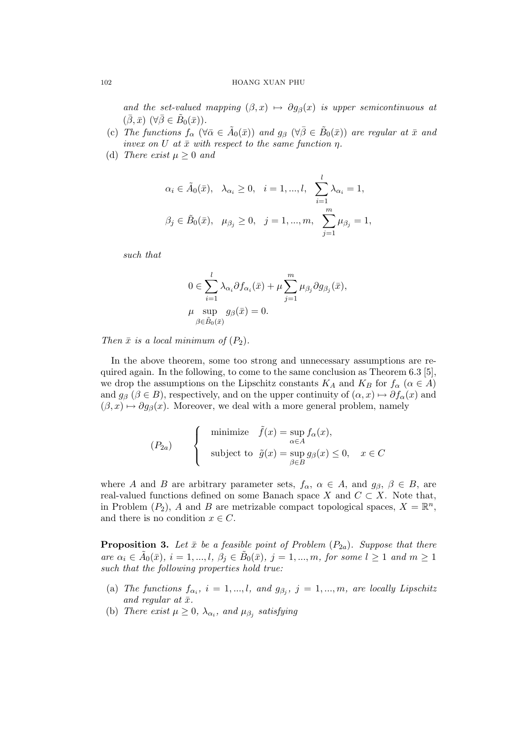# 102 HOANG XUAN PHU

and the set-valued mapping  $(\beta, x) \mapsto \partial g_{\beta}(x)$  is upper semicontinuous at  $(\bar{\beta}, \bar{x}) \; (\forall \bar{\beta} \in \tilde{B}_0(\bar{x})).$ 

- (c) The functions  $f_{\alpha}$  ( $\forall \bar{\alpha} \in \tilde{A}_0(\bar{x})$ ) and  $g_{\beta}$  ( $\forall \bar{\beta} \in \tilde{B}_0(\bar{x})$ ) are regular at  $\bar{x}$  and invex on U at  $\bar{x}$  with respect to the same function  $\eta$ .
- (d) There exist  $\mu > 0$  and

$$
\alpha_i \in \tilde{A}_0(\bar{x}), \quad \lambda_{\alpha_i} \ge 0, \quad i = 1, ..., l, \quad \sum_{i=1}^l \lambda_{\alpha_i} = 1,
$$
  
 $\beta_j \in \tilde{B}_0(\bar{x}), \quad \mu_{\beta_j} \ge 0, \quad j = 1, ..., m, \quad \sum_{j=1}^m \mu_{\beta_j} = 1,$ 

such that

$$
0 \in \sum_{i=1}^{l} \lambda_{\alpha_i} \partial f_{\alpha_i}(\bar{x}) + \mu \sum_{j=1}^{m} \mu_{\beta_j} \partial g_{\beta_j}(\bar{x}),
$$
  

$$
\mu \sup_{\beta \in \tilde{B}_0(\bar{x})} g_{\beta}(\bar{x}) = 0.
$$

Then  $\bar{x}$  is a local minimum of  $(P_2)$ .

In the above theorem, some too strong and unnecessary assumptions are required again. In the following, to come to the same conclusion as Theorem 6.3 [5], we drop the assumptions on the Lipschitz constants  $K_A$  and  $K_B$  for  $f_\alpha$  ( $\alpha \in A$ ) and  $g_{\beta}$  ( $\beta \in B$ ), respectively, and on the upper continuity of  $(\alpha, x) \mapsto \partial f_{\alpha}(x)$  and  $(\beta, x) \mapsto \partial g_{\beta}(x)$ . Moreover, we deal with a more general problem, namely

$$
(P_{2a}) \qquad \begin{cases} \text{minimize} & \tilde{f}(x) = \sup_{\alpha \in A} f_{\alpha}(x), \\ \text{subject to} & \tilde{g}(x) = \sup_{\beta \in B} g_{\beta}(x) \le 0, \quad x \in C \end{cases}
$$

where A and B are arbitrary parameter sets,  $f_{\alpha}$ ,  $\alpha \in A$ , and  $g_{\beta}$ ,  $\beta \in B$ , are real-valued functions defined on some Banach space X and  $C \subset X$ . Note that, in Problem  $(P_2)$ , A and B are metrizable compact topological spaces,  $X = \mathbb{R}^n$ , and there is no condition  $x \in C$ .

**Proposition 3.** Let  $\bar{x}$  be a feasible point of Problem ( $P_{2a}$ ). Suppose that there are  $\alpha_i \in \tilde{A}_0(\bar{x}), i = 1, ..., l, \beta_j \in \tilde{B}_0(\bar{x}), j = 1, ..., m$ , for some  $l \ge 1$  and  $m \ge 1$ such that the following properties hold true:

- (a) The functions  $f_{\alpha_i}$ ,  $i = 1, ..., l$ , and  $g_{\beta_j}$ ,  $j = 1, ..., m$ , are locally Lipschitz and regular at  $\bar{x}$ .
- (b) There exist  $\mu \geq 0$ ,  $\lambda_{\alpha_i}$ , and  $\mu_{\beta_j}$  satisfying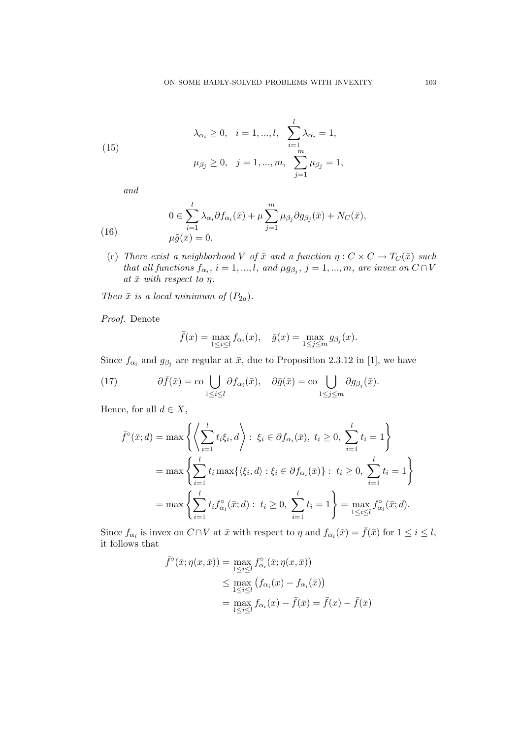(15) 
$$
\lambda_{\alpha_i} \ge 0, \quad i = 1, ..., l, \quad \sum_{i=1}^l \lambda_{\alpha_i} = 1,
$$

$$
\mu_{\beta_j} \ge 0, \quad j = 1, ..., m, \quad \sum_{j=1}^m \mu_{\beta_j} = 1,
$$

and

(16) 
$$
0 \in \sum_{i=1}^{l} \lambda_{\alpha_i} \partial f_{\alpha_i}(\bar{x}) + \mu \sum_{j=1}^{m} \mu_{\beta_j} \partial g_{\beta_j}(\bar{x}) + N_C(\bar{x}),
$$

$$
\mu \tilde{g}(\bar{x}) = 0.
$$

(c) There exist a neighborhood V of  $\bar{x}$  and a function  $\eta : C \times C \to T_C(\bar{x})$  such that all functions  $f_{\alpha_i}$ ,  $i = 1, ..., l$ , and  $\mu g_{\beta_j}$ ,  $j = 1, ..., m$ , are invex on  $C \cap V$ at  $\bar{x}$  with respect to  $\eta$ .

Then  $\bar{x}$  is a local minimum of  $(P_{2a})$ .

Proof. Denote

$$
\bar{f}(x) = \max_{1 \le i \le l} f_{\alpha_i}(x), \quad \bar{g}(x) = \max_{1 \le j \le m} g_{\beta_j}(x).
$$

Since  $f_{\alpha_i}$  and  $g_{\beta_j}$  are regular at  $\bar{x}$ , due to Proposition 2.3.12 in [1], we have

(17) 
$$
\partial \bar{f}(\bar{x}) = \text{co} \bigcup_{1 \leq i \leq l} \partial f_{\alpha_i}(\bar{x}), \quad \partial \bar{g}(\bar{x}) = \text{co} \bigcup_{1 \leq j \leq m} \partial g_{\beta_j}(\bar{x}).
$$

Hence, for all  $d \in X$ ,

$$
\bar{f}^{\circ}(\bar{x}; d) = \max \left\{ \left\langle \sum_{i=1}^{l} t_{i} \xi_{i}, d \right\rangle : \xi_{i} \in \partial f_{\alpha_{i}}(\bar{x}), \ t_{i} \ge 0, \ \sum_{i=1}^{l} t_{i} = 1 \right\}
$$
\n
$$
= \max \left\{ \sum_{i=1}^{l} t_{i} \max \{ \langle \xi_{i}, d \rangle : \xi_{i} \in \partial f_{\alpha_{i}}(\bar{x}) \} : \ t_{i} \ge 0, \ \sum_{i=1}^{l} t_{i} = 1 \right\}
$$
\n
$$
= \max \left\{ \sum_{i=1}^{l} t_{i} f_{\alpha_{i}}^{\circ}(\bar{x}; d) : \ t_{i} \ge 0, \ \sum_{i=1}^{l} t_{i} = 1 \right\} = \max_{1 \le i \le l} f_{\alpha_{i}}^{\circ}(\bar{x}; d).
$$

Since  $f_{\alpha_i}$  is invex on  $C \cap V$  at  $\bar{x}$  with respect to  $\eta$  and  $f_{\alpha_i}(\bar{x}) = \bar{f}(\bar{x})$  for  $1 \leq i \leq l$ , it follows that

$$
\bar{f}^{\circ}(\bar{x}; \eta(x, \bar{x})) = \max_{1 \leq i \leq l} f^{\circ}_{\alpha_i}(\bar{x}; \eta(x, \bar{x}))
$$
\n
$$
\leq \max_{1 \leq i \leq l} (f_{\alpha_i}(x) - f_{\alpha_i}(\bar{x}))
$$
\n
$$
= \max_{1 \leq i \leq l} f_{\alpha_i}(x) - \bar{f}(\bar{x}) = \bar{f}(x) - \bar{f}(\bar{x})
$$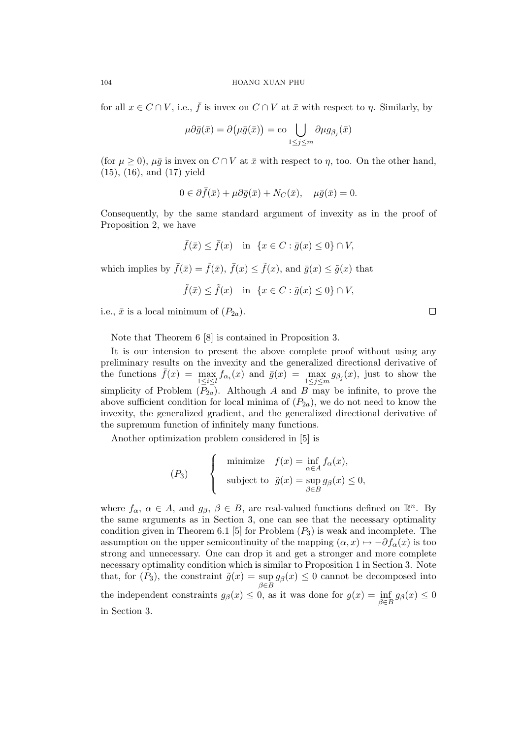for all  $x \in C \cap V$ , i.e.,  $\bar{f}$  is invex on  $C \cap V$  at  $\bar{x}$  with respect to  $\eta$ . Similarly, by

$$
\mu \partial \bar{g}(\bar{x}) = \partial \big( \mu \bar{g}(\bar{x}) \big) = \text{co} \bigcup_{1 \leq j \leq m} \partial \mu g_{\beta_j}(\bar{x})
$$

(for  $\mu \geq 0$ ),  $\mu \bar{g}$  is invex on  $C \cap V$  at  $\bar{x}$  with respect to  $\eta$ , too. On the other hand, (15), (16), and (17) yield

$$
0 \in \partial \bar{f}(\bar{x}) + \mu \partial \bar{g}(\bar{x}) + N_C(\bar{x}), \quad \mu \bar{g}(\bar{x}) = 0.
$$

Consequently, by the same standard argument of invexity as in the proof of Proposition 2, we have

$$
\bar{f}(\bar{x}) \le \bar{f}(x) \quad \text{in} \ \{x \in C : \bar{g}(x) \le 0\} \cap V,
$$

which implies by  $\bar{f}(\bar{x}) = \tilde{f}(\bar{x}), \bar{f}(x) \leq \tilde{f}(x),$  and  $\bar{g}(x) \leq \tilde{g}(x)$  that

$$
\tilde{f}(\bar{x}) \le \tilde{f}(x) \quad \text{in} \ \{x \in C : \tilde{g}(x) \le 0\} \cap V,
$$

i.e.,  $\bar{x}$  is a local minimum of  $(P_{2a})$ .

Note that Theorem 6 [8] is contained in Proposition 3.

It is our intension to present the above complete proof without using any preliminary results on the invexity and the generalized directional derivative of the functions  $\bar{f}(x) = \max_{1 \leq i \leq l} f_{\alpha_i}(x)$  and  $\bar{g}(x) = \max_{1 \leq j \leq m} g_{\beta_j}(x)$ , just to show the simplicity of Problem  $(P_{2a})$ . Although A and B may be infinite, to prove the above sufficient condition for local minima of  $(P_{2a})$ , we do not need to know the invexity, the generalized gradient, and the generalized directional derivative of the supremum function of infinitely many functions.

Another optimization problem considered in [5] is

$$
(P_3) \qquad \begin{cases} \text{minimize} & f(x) = \inf_{\alpha \in A} f_\alpha(x), \\ \text{subject to} & \tilde{g}(x) = \sup_{\beta \in B} g_\beta(x) \le 0, \end{cases}
$$

where  $f_{\alpha}$ ,  $\alpha \in A$ , and  $g_{\beta}$ ,  $\beta \in B$ , are real-valued functions defined on  $\mathbb{R}^n$ . By the same arguments as in Section 3, one can see that the necessary optimality condition given in Theorem 6.1 [5] for Problem  $(P_3)$  is weak and incomplete. The assumption on the upper semicontinuity of the mapping  $(\alpha, x) \mapsto -\partial f_{\alpha}(x)$  is too strong and unnecessary. One can drop it and get a stronger and more complete necessary optimality condition which is similar to Proposition 1 in Section 3. Note that, for  $(P_3)$ , the constraint  $\tilde{g}(x) = \sup g_{\beta}(x) \leq 0$  cannot be decomposed into  $\beta \in B$ the independent constraints  $g_{\beta}(x) \leq 0$ , as it was done for  $g(x) = \inf_{\beta \in B} g_{\beta}(x) \leq 0$ in Section 3.

 $\Box$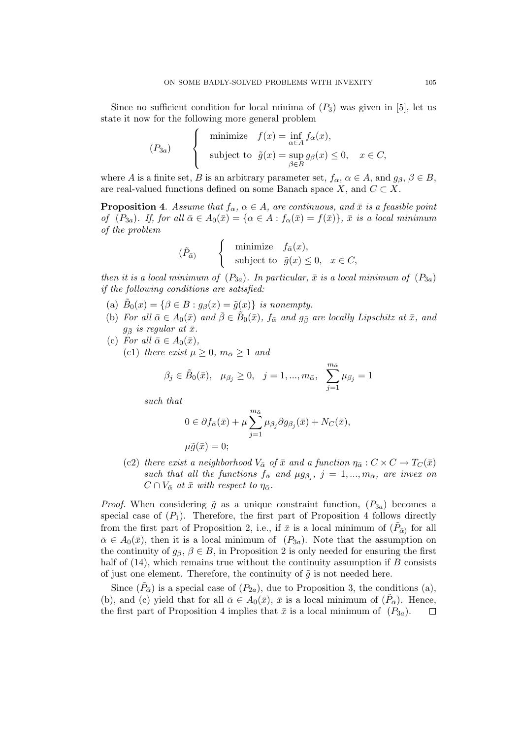Since no sufficient condition for local minima of  $(P_3)$  was given in [5], let us state it now for the following more general problem

$$
(P_{3a}) \qquad \begin{cases} \text{minimize} & f(x) = \inf_{\alpha \in A} f_{\alpha}(x), \\ \text{subject to} & \tilde{g}(x) = \sup_{\beta \in B} g_{\beta}(x) \le 0, \quad x \in C, \end{cases}
$$

where A is a finite set, B is an arbitrary parameter set,  $f_{\alpha}$ ,  $\alpha \in A$ , and  $g_{\beta}$ ,  $\beta \in B$ , are real-valued functions defined on some Banach space X, and  $C \subset X$ .

**Proposition 4.** Assume that  $f_{\alpha}$ ,  $\alpha \in A$ , are continuous, and  $\bar{x}$  is a feasible point of  $(P_{3a})$ . If, for all  $\bar{\alpha} \in A_0(\bar{x}) = {\alpha \in A : f_{\alpha}(\bar{x}) = f(\bar{x})}$ ,  $\bar{x}$  is a local minimum of the problem  $\overline{a}$ 

$$
(\tilde{P}_{\bar{\alpha}}) \qquad \begin{cases} \text{minimize} & f_{\bar{\alpha}}(x), \\ \text{subject to} & \tilde{g}(x) \le 0, \quad x \in C, \end{cases}
$$

then it is a local minimum of  $(P_{3a})$ . In particular,  $\bar{x}$  is a local minimum of  $(P_{3a})$ if the following conditions are satisfied:

- (a)  $\tilde{B}_0(x) = \{\beta \in B : g_{\beta}(x) = \tilde{g}(x)\}\$ is nonempty.
- (b) For all  $\bar{\alpha} \in A_0(\bar{x})$  and  $\bar{\beta} \in \tilde{B}_0(\bar{x})$ ,  $f_{\bar{\alpha}}$  and  $g_{\bar{\beta}}$  are locally Lipschitz at  $\bar{x}$ , and  $g_{\bar{\beta}}$  is regular at  $\bar{x}$ .
- (c) For all  $\bar{\alpha} \in A_0(\bar{x}),$ (c1) there exist  $\mu \geq 0$ ,  $m_{\bar{\alpha}} \geq 1$  and

$$
\beta_j \in \tilde{B}_0(\bar{x}), \quad \mu_{\beta_j} \ge 0, \quad j = 1, ..., m_{\bar{\alpha}}, \quad \sum_{j=1}^{m_{\bar{\alpha}}} \mu_{\beta_j} = 1
$$

such that

$$
0 \in \partial f_{\bar{\alpha}}(\bar{x}) + \mu \sum_{j=1}^{m_{\bar{\alpha}}} \mu_{\beta_j} \partial g_{\beta_j}(\bar{x}) + N_C(\bar{x}),
$$
  

$$
\mu \tilde{q}(\bar{x}) = 0;
$$

(c2) there exist a neighborhood  $V_{\overline{\alpha}}$  of  $\overline{x}$  and a function  $\eta_{\overline{\alpha}} : C \times C \to T_C(\overline{x})$ such that all the functions  $f_{\bar{\alpha}}$  and  $\mu g_{\beta_j}$ ,  $j = 1, ..., m_{\bar{\alpha}}$ , are invex on  $C \cap V_{\bar{\alpha}}$  at  $\bar{x}$  with respect to  $\eta_{\bar{\alpha}}$ .

*Proof.* When considering  $\tilde{g}$  as a unique constraint function,  $(P_{3a})$  becomes a special case of  $(P_1)$ . Therefore, the first part of Proposition 4 follows directly from the first part of Proposition 2, i.e., if  $\bar{x}$  is a local minimum of  $(\tilde{P}_{\bar{\alpha}})$  for all  $\bar{\alpha} \in A_0(\bar{x})$ , then it is a local minimum of  $(P_{3a})$ . Note that the assumption on the continuity of  $g_{\beta}, \beta \in B$ , in Proposition 2 is only needed for ensuring the first half of  $(14)$ , which remains true without the continuity assumption if B consists of just one element. Therefore, the continuity of  $\tilde{g}$  is not needed here.

Since  $(\tilde{P}_{\overline{\alpha}})$  is a special case of  $(P_{2a})$ , due to Proposition 3, the conditions (a), (b), and (c) yield that for all  $\bar{\alpha} \in A_0(\bar{x})$ ,  $\bar{x}$  is a local minimum of  $(\tilde{P}_{\bar{\alpha}})$ . Hence, the first part of Proposition 4 implies that  $\bar{x}$  is a local minimum of  $(P_{3a})$ .  $\Box$